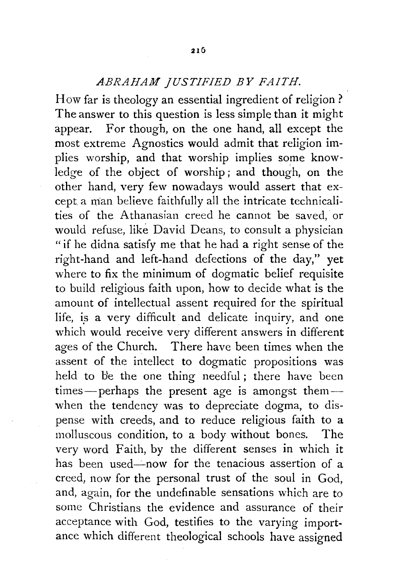## *ABRAHAM JUSTIFIED BY FAITH.*

How far is theology an essential ingredient of religion? The answer to this question is less simple than it might appear. For though, on the one hand, all except the most extreme Agnostics would admit that religion implies worship, and that worship implies some knowledge of the object of worship; and though, on the other hand, very few nowadays would assert that except a man believe faithfully all the intricate technicalities of the Athanasian creed he cannot be saved, or would refuse, like David Deans, to consult a physician "if he didna satisfy me that he had a right sense of the right-hand and left-hand defections of the day," yet where to fix the minimum of dogmatic belief requisite to build religious faith upon, how to decide what is the amount of intellectual assent required for the spiritual life, is a very difficult and delicate inquiry, and one which would receive very different answers in different ages of the Church. There have been times when the assent of the intellect to dogmatic propositions was held to be the one thing needful; there have been times-perhaps the present age is amongst themwhen the tendency was to depreciate dogma, to dispense with creeds, and to reduce religious faith to a molluscous condition, to a body without bones. The very word Faith, by the different senses in which it has been used—now for the tenacious assertion of a creed, now for the personal trust of the soul in God, and, again, for the undefinable sensations which are to some Christians the evidence and assurance of their acceptance with God, testifies to the varying importance which different theological schools have assigned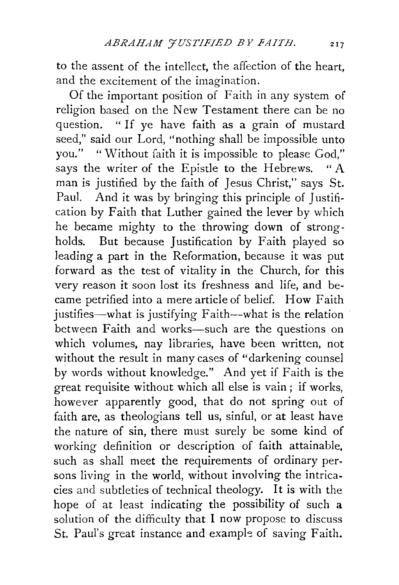to the assent of the intellect, the affection of the heart, and the excitement of the imagination.

Of the important position of Faith in any system of religion based on the New Testament there can be no question. " If ye have faith as a grain of mustard seed," said our Lord, "nothing shall be impossible unto you." "Without faith it is impossible to please God," says the writer of the Epistle to the Hebrews. "A man is justified by the faith of Jesus Christ," says St. Paul. And it was by bringing this principle of Justification by Faith that Luther gained the lever by which he became mighty to the throwing down of strongholds. But because Justification by Faith played so leading a part in the Reformation, because it was put forward as the test of vitality in the Church, for this very reason it soon lost its freshness and life, and became petrified into a mere article of belief. How Faith justifies-what is justifying Faith-what is the relation between Faith and works-such are the questions on which volumes, nay libraries, have been written, not without the result in many cases of "darkening counsel by words without knowledge." And yet if Faith is the great requisite without which all else is vain ; if works, however apparently good, that do not spring out of faith are, as theologians tell us, sinful, or at least have the nature of sin, there must surely be some kind of working definition or description of faith attainable, such as shall meet the requirements of ordinary persons living in the world, without involving the intricacies and subtleties of technical theology. It is with the hope of at least indicating the possibility of such a solution of the difficulty that I now propose to discuss St. Paul's great instance and example of saving Faith.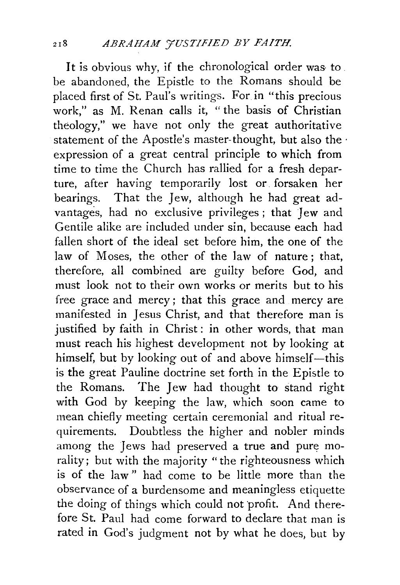It is obvious why, if the chronological order was to . be abandoned, the Epistle to the Romans should be placed first of St. Paul's writings. For in "this precious work," as M. Renan calls it, " the basis of Christian theology," we have not only the great authoritative statement of the Apostle's master-thought, but also the· expression of a great central principle to which from time to time the Church has rallied for a fresh departure, after having temporarily lost or. forsaken her bearings. That the Jew, although he had great advantages, had no exclusive privileges ; that Jew and Gentile alike are included under sin, because each had fallen short of the ideal set before him, the one of the law of Moses, the other of the law of nature; that, therefore, all combined are guilty before God, and must look not to their own works or merits but to his free grace and mercy ; that this grace and mercy are manifested in Jesus Christ, and that therefore man is justified by faith in Christ: in other words, that man must reach his highest development not by looking at himself, but by looking out of and above himself-this is the great Pauline doctrine set forth in the Epistle to the Romans. The Jew had thought to stand right with God by keeping the law, which soon came to mean chiefly meeting certain ceremonial and ritual requirements. Doubtless the higher and nobler minds among the Jews had preserved a true and pure morality; but with the majority "the righteousness which is of the law" had come to be little more than the observance of a burdensome and meaningless etiquette the doing of things which could not profit. And therefore St. Paul had come forward to declare that man is rated in God's judgment not by what he does, but by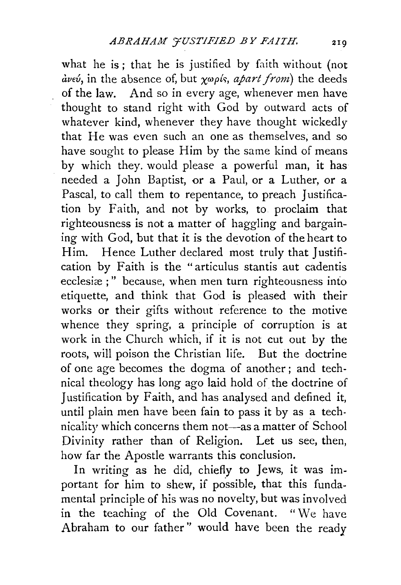what he is; that he is justified by faith without (not *UVEU,* in the absence Of, but xwp{r:;, *apart front)* the deeds of the law. And so in every age, whenever men have thought to stand right with God by outward acts of whatever kind, whenever they have thought wickedly that He was even such an one as themselves, and so have sought to please Him by the same kind of means by which they. would please a powerful man, it has needed a John Baptist, or a Paul, or a Luther, or a Pascal, to call them to repentance, to preach Justification by Faith, and not by works, to proclaim that righteousness is not a matter of haggling and bargaining with God, but that it is the devotion of the heart to Him. Hence Luther declared most truly that Justification by Faith is the "articulus stantis aut cadentis ecclesiæ;" because, when men turn righteousness into etiquette, and think that God is pleased with their works or their gifts without reference to the motive whence they spring, a principle of corruption is at work in the Church which, if it is not cut out by the roots, will poison the Christian life. But the doctrine of one age becomes the dogma of another ; and technical theology has long ago laid hold of the doctrine of Justification by Faith, and has analysed and defined it, until plain men have been fain to pass it by as a technicality which concerns them not-as a matter of School Divinity rather than of Religion. Let us see, then, how far the Apostle warrants this conclusion.

In writing as he did, chiefly to Jews, it was important for him to shew, if possible, that this fundamental principle of his was no novelty, but was involved in the teaching of the Old Covenant. "We have Abraham to onr father'' would have been the ready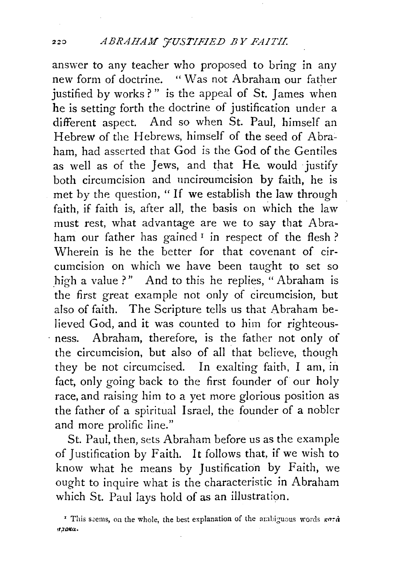## :zzo *ABRAHAM 'JUSTIFIED BY FAITH.*

answer to any teacher who proposed to bring in any new form of doctrine. "Was not Abraham our father justified by works?" is the appeal of St. James when he is setting forth the doctrine of justification under a different aspect. And so when St. Paul, himself an Hebrew of the Hebrews, himself of the seed of Abraham, had asserted that God is the God of the Gentiles as well as of the Jews, and that He. would justify both circumcision and unciroumcision by faith, he is met by the question, " If we establish the law through faith, if faith is, after all, the basis on which the law must rest, what advantage are we to say that Abraham our father has gained  $\frac{1}{x}$  in respect of the flesh? Wherein is he the better for that covenant of circumcision on which we have been taught to set so high a value ?" And to this he replies, "Abraham is the first great example not only of circumcision, but also of faith. The Scripture tells us that Abraham believed God, and it was counted to him for righteous- . ness. Abraham, therefore, is the father not only of the circumcision, but also of all that believe, though they be not circumcised. In exalting faith, I am, in fact, only going back to the first founder of our holy race, and raising him to a yet more glorious position as the father of a spiritual Israel, the founder of a nobler and more prolific line."

St. Paul, then, sets Abraham before us as the example of Justification by Faith. It follows that, if we wish to know what he means by Justification by Faith, we ought to inquire what is the characteristic in Abraham which St. Paul lays hold of as an illustration.

<sup>&</sup>lt;sup>r</sup> This seems, on the whole, the best explanation of the ambiguous words  $\kappa$ ord  $r$ *zora*.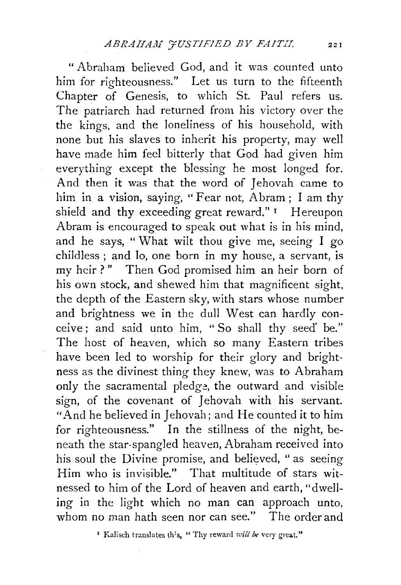"Abraham believed God, and it was counted unto him for righteousness." Let us turn to the fifteenth Chapter of Genesis, to which St. Paul refers us. The patriarch had returned from his victory over the the kings, and the loneliness of his household, with none but his slaves to inherit his property, may well have made him feel bitterly that God had given him everything except the blessing he most longed for. And then it was that the word of Jehovah came to him in a vision, saying, "Fear not, Abram; I am thy shield and thy exceeding great reward." I Hereupon Abram is encouraged to speak out what is in his mind, and he says, " What wilt thou give me, seeing I go childless ; and lo, one born in my house, a servant, is my heir?" Then God promised him an heir born of his own stock, and shewed him that magnificent sight, the depth of the Eastern sky, with stars whose number and brightness we in the dull West can hardly conceive; and said unto him, " So shall thy seed' be." The host of heaven, which so many Eastern tribes have been led to worship for their glory and brightness as the divinest thing they knew, was to Abraham only the sacramental pledge, the outward and visible sign, of the covenant of Jehovah with his servant. "And he believed in Jehovah; and He counted it to him for righteousness." In the stillness of the night, beneath the star-spangled heaven, Abraham received into his soul the Divine promise, and believed, " as seeing Him who is invisible." That multitude of stars witnessed to him of the Lord of heaven and earth, "dwelling in the light which no man can approach unto, whom no man hath seen nor can see." The order and

<sup>&</sup>lt;sup>2</sup> Kalisch translates th's, " Thy reward will be very great."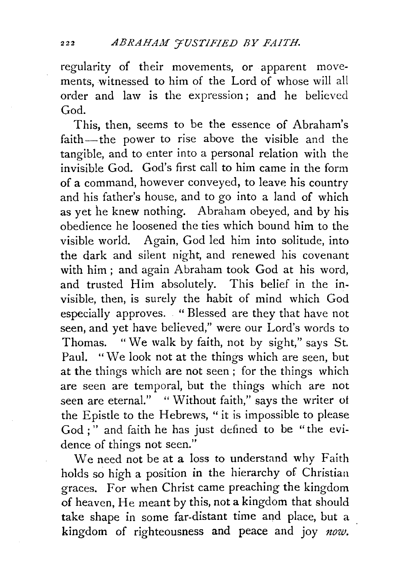regularity of their movements, or apparent movements, witnessed to him of the Lord of whose will all order and law is the expression ; and he believed God.

This, then, seems to be the essence of Abraham's faith-the power to rise above the visible and the tangible, and to enter into a personal relation with the invisible God. God's first call to him came in the form of a command, however conveyed, to leave his country and his father's house, and to go into a land of which as yet he knew nothing. Abraham obeyed, and by his obedience he loosened the ties which bound him to the visible world. Again, God led him into solitude, into the dark and silent night, and renewed his covenant with him ; and again Abraham took God at his word, and trusted Him absolutely. This belief in the invisible, then, is surely the habit of mind which God especially approves. " Blessed are they that have not seen, and yet have believed," were our Lord's words to Thomas. "We walk by faith, not by sight," says St. Paul. "We look not at the things which are seen, but at the things which are not seen; for the things which are seen are temporal, but the things which are not seen are eternal." " Without faith," says the writer of the Epistle to the Hebrews, "it is impossible to please God ; " and faith he has just defined to be "the evidence of things not seen."

We need not be at a loss *to* understand why Faith holds so high a position in the hierarchy of Christian graces. For when Christ came preaching the kingdom of heaven, He meant by this, not a kingdom that should take shape in some far-distant time and place, but a kingdom of righteousness and peace and joy  $now$ .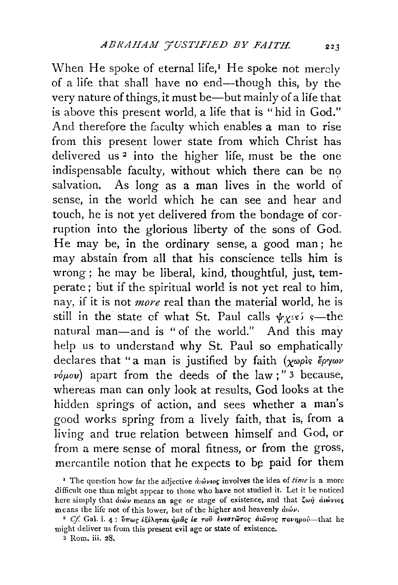When He spoke of eternal life, $I$  He spoke not merely of a life that shall have no end-though this, by the very nature of things, it must be—but mainly of a life that is above this present world, a life that is "hid in God." And therefore the faculty which enables a man to rise from this present lower state from which Christ has delivered us 2 into the higher life, must be the one  $indispensable$  faculty, without which there can be no salvation. As long as a man lives in the world of sense, in the world which he can see and hear and touch, he is not yet delivered from the bondage of corruption into the glorious liberty of the sons of God. He may be, in the ordinary sense, a good man; he may abstain from all that his conscience tells him is wrong ; he may be liberal, kind, thoughtful, just, temperate ; but if the spiritual world is not yet real to him, nay, if it is not *more* real than the material world, he is still in the state of what St. Paul calls  $\psi_{X^{i*}}$  s—the natural man-and is "of the world." And this may help us to understand why St. Paul so emphatically declares that "a man is justified by faith *(xwpis eprywv*   $\nu \phi \mu \omega \nu$ ) apart from the deeds of the law;" 3 because, whereas man can only look at results, God looks at the hidden springs of action, and sees whether a man's good works spring from a lively faith, that is, from a living and true relation between himself and God, or from a mere sense of moral fitness, or from the gross, mercantile notion that he expects to be paid for them

<sup>&</sup>lt;sup>1</sup> The question how far the adjective  $\partial \omega \omega_0$  involves the idea of *time* is a more difficult one than might appear to those who have not studied it. Let it be noticed here simply that *duwv* means an age or stage of existence, and that  $\zeta \omega \eta$  *duwvios* means the life not of this lower, but of the higher and heavenly  $\dot{a}u\acute{\omega}\nu$ .

<sup>&</sup>lt;sup>2</sup> Cf. Gal. i. 4:  $\delta \pi \omega c$  *i i inde in the*  $\epsilon$  *it*  $\sigma \tilde{v}$  *iveor*  $\tilde{\omega}$ rog  $\alpha$ *i*  $\tilde{\omega}$ *vog*  $\pi$ *ovnpov*—that he might deliver us from this present evil age or state of existence.

<sup>3</sup> Rom. iii. 28.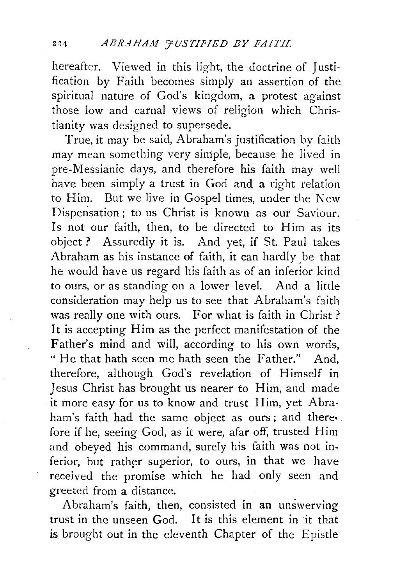hereafter. Viewed in this light, the doctrine of Justification by Faith becomes simply an assertion of the spiritual nature of God's kingdom, a protest against those low and carnal views of religion which Christianity was designed to supersede.

True, it may be said, Abraham's justification by faith may mean something very simple, because he lived in pre-Messianic days, and therefore his faith may well have been simply a trust in God and a right relation to Him. But we live in Gospel times, under the New Dispensation; to us Christ is known as our Saviour. Is not our faith, then, to be directed to Him as its object ? Assuredly it is. And yet, if St. Paul takes Abraham as his instance of faith, it can hardly be that he would have us regard his faith as of an inferior kind to ours, or as standing on a lower level. And a little consideration may help us to see that Abraham's faith was really one with ours. For what is faith in Christ? It is accepting Him as the perfect manifestation of the Father's mind and will, according to his own words, " He that hath seen me bath seen the Father." And, therefore, although God's revelation of Himself in Jesus Christ has brought us nearer to Him, and made it more easy for us to know and trust Him, yet Abra· ham's faith had the same object as ours; and there• fore if he, seeing God, as it were, afar off, trusted Him and obeyed his command, surely his faith was not inferior, but rather superior, to ours, in that we have received the promise which he had only seen and greeted from a distance.

Abraham's faith, then, consisted in an unswerving trust in the unseen God. It is this element in it that is brought out in the eleventh Chapter of the Epistle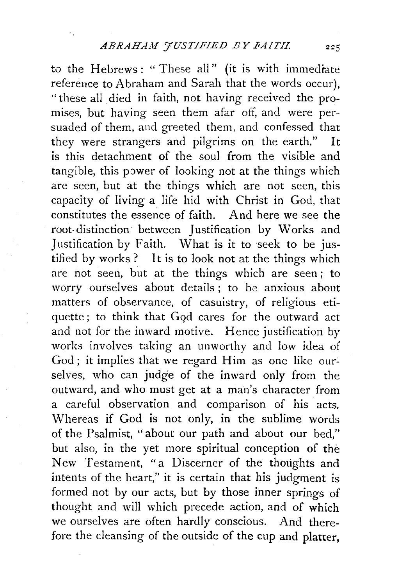to the Hebrews: "These all" (it is with immediate reference to Abraham and Sarah that the words occur), "these all died in faith, not having received the promises, but having seen them afar off, and were persuaded of them, and greeted them, and confessed that they were strangers and pilgrims on the earth." It is this detachment of the soul from the visible and tangible, this power of looking not at the things which are seen, but at the things which are not seen, this capacity of living a life hid with Christ in God, that constitutes the essence of faith. And here we see the root- distinction between Justification by Works and Justification by Faith. What is it to seek to be justified by works ? It is to look not at the things which are not seen, but at the things which are seen; to worry ourselves about details; to be anxious about matters of observance, of casuistry, of religious etiquette; to think that *Gqd* cares for the outward act and not for the inward motive. Hence justification by works involves taking an unworthy and low idea of God; it implies that we regard Him as one like ourselves, who can judge of the inward only from the outward, and who must get at a man's character from a careful observation and comparison of his acts. Whereas if God is not only, in the sublime words of the Psalmist, "about our path and about our bed," but also, in the yet more spiritual conception of the New Testament, "a Discerner of the thoughts and intents of the heart," it is certain that his judgment is formed not by our acts, but by those inner springs of thought and will which precede action, and of which we ourselves are often hardly conscious. And therefore the cleansing of the outside of the cup and platter,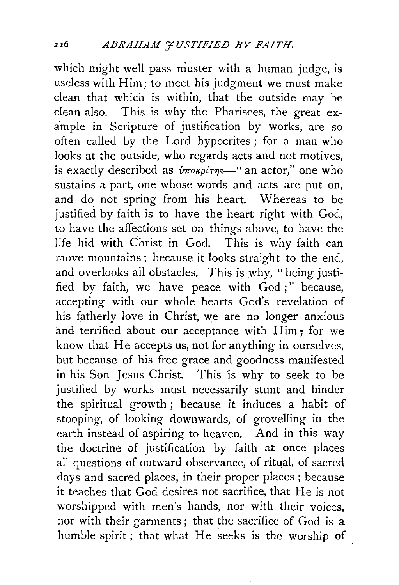which might well pass muster with a human judge, is useless with Him; to meet his judgment we must make clean that which is within, that the outside may be clean also. This is why the Pharisees, the great example in Scripture of justification by works, are so often called by the Lord hypocrites ; for a man who looks at the outside, who regards acts and not motives, is exactly described as  $\hat{v}$  $\pi$ *ok<sub>p</sub>* $(\pi_{\text{TS}}$ <sup>"</sup> an actor," one who sustains a part, one whose words and acts are put on, and do not spring from his heart. Whereas to be justified by faith is to have the heart right with God, to have the affections set on things above, to have the life hid with Christ in God. This is why faith can move mountains; because it looks straight to the end, and overlooks all obstacles. This is why, "being justified by faith, we have peace with God;" because, accepting with our whole hearts God's revelation of his fatherly love in Christ, we are no longer anxious and terrified about our acceptance with Him; for we know that He accepts us, not for anything in ourselves, but because of his free grace and goodness manifested in his Son Jesus Christ. This is why to seek to be justified by works must necessarily stunt and hinder the spiritual growth ; because it induces a habit of stooping, of looking downwards, of grovelling in the earth instead of aspiring to heaven. And in this way the doctrine of justification by faith at once places all questions of outward observance, of ritual, of sacred days and sacred places, in their proper places ; because it teaches that God desires not sacrifice, that He is not worshipped with men's hands, nor with their voices, nor with their garments ; that the sacrifice of God is a humble spirit; that what He seeks is the worship of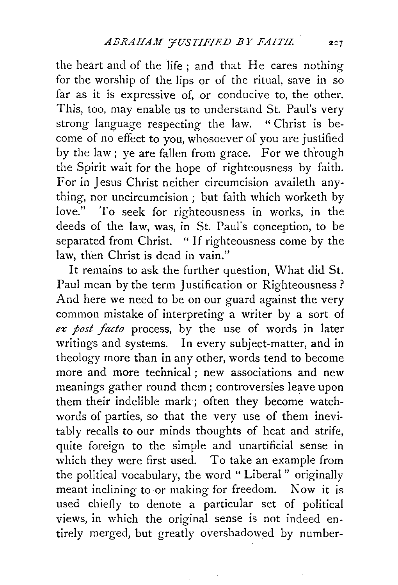the heart and of the life ; and that He cares nothing for the worship of the lips or of the ritual, save in so far as it is expressive of, or conducive to, the other. This, too, may enable us to understand St. Paul's very strong language respecting the law. "Christ is become of no effect to you, whosoever of you are justified by the law; ye are fallen from grace. For we through the Spirit wait for the hope of righteousness by faith. For in Jesus Christ neither circumcision availeth anything, nor uncircumcision ; but faith which worketh by love." To seek for righteousness in works, in the deeds of the law, was, in St. Paul's conception, to be separated from Christ. " If righteousness come by the law, then Christ is dead in vain."

It remains to ask the further question, What did St. Paul mean by the term Justification or Righteousness ? And here we need to be on our guard against the very common mistake of interpreting a writer by a sort of ex post facto process, by the use of words in later writings and systems. In every subject-matter, and in theology more than in any other, words tend to become more and more technical ; new associations and new meanings gather round them ; controversies leave upon them their indelible mark; often they become watchwords of parties, so that the very use of them inevitably recalls to our minds thoughts of heat and strife, quite foreign to the simple and unartificial sense in which they were first used. To take an example from the political vocabulary, the word " Liberal " originally meant inclining to or making for freedom. Now it is used chiefly to denote a particular set of political views, in which the original sense is not indeed entirely merged, but greatly overshadowed by number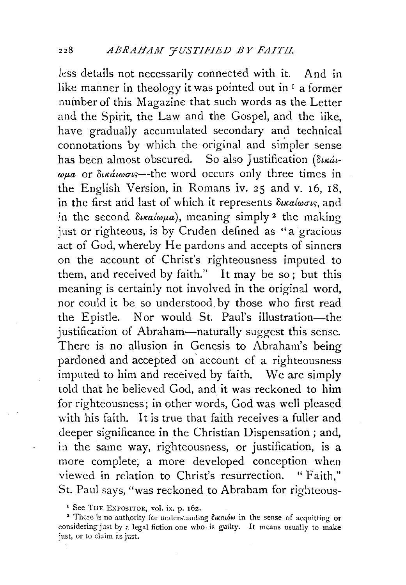less details not necessarily connected with it. And in like manner in theology it was pointed out in  $I$  a former number of this Magazine that such words as the Letter and the Spirit, the Law and the Gospel, and the like, have gradually accumulated secondary and technical connotations by which the original and simpler sense has been almost obscured. So also Justification ( $\delta u \kappa \dot{a}$ -*Wf.La* or *oucatwutc:;-the* word occurs only three times in the English Version, in Romans iv. 25 and v. 16, 18, in the first and last of which it represents  $\delta u \alpha d \omega \sigma \iota s$ , and in the second  $\delta u \alpha \omega \omega a$ , meaning simply <sup>2</sup> the making just or righteous, is by Cruden defined as "a gracious act of God, whereby He pardons and accepts of sinners on the account of Christ's righteousness imputed to them, and received by faith." It may be so; but this meaning is certainly not involved in the original word, nor could it be so understood, by those who first read the Epistle. Nor would St. Paul's illustration-the justification of Abraham-naturally suggest this sense. There is no allusion in Genesis to Abraham's being pardoned and accepted on account of a righteousness imputed to him and received by faith. We are simply told that he believed God, and it was reckoned to him for righteousness; in other words, God was well pleased with his faith. It is true that faith receives a fuller and deeper significance in the Christian Dispensation; and, in the same way, righteousness, or justification, is a more complete; a more developed conception when viewed in relation to Christ's resurrection. " Faith," St. Paul says, "was reckoned to Abraham for righteous-

<sup>&#</sup>x27; See THE EXPOSITOR, vol. ix. p. I6z.

<sup>&</sup>lt;sup>2</sup> There is no authority for understanding  $\delta$ *watow* in the sense of acquitting or considering just by a legal fiction one who is guilty. It means usually to make just, or to claim as just.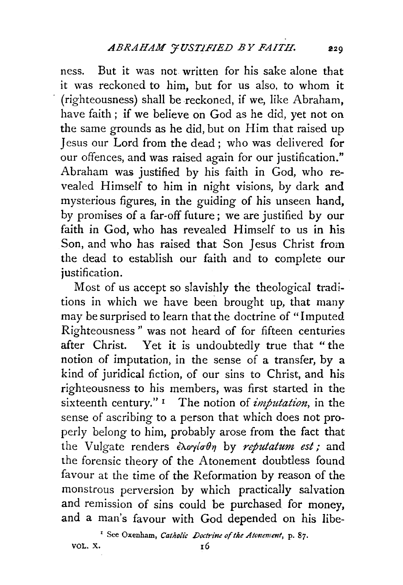ness. But it was not written for his sake alone that it was reckoned to him, but for us also, to whom it (righteousness) shall be reckoned, if we, like Abraham, have faith ; if we believe on God as he did, yet not on the same grounds as he did, but on Him that raised up Jesus our Lord from the dead; who was delivered for our offences, and was raised again for our justification." Abraham was justified by his faith in God, who revealed Himself to him in night visions, by dark and mysterious figures, in the guiding of his unseen hand, by promises of a far-off future; we are justified by our faith in God, who has revealed Himself to us in his Son, and who has raised that Son Jesus Christ from the dead to establish our faith and to complete our justification.

Most of us accept so slavishly the theological traditions in which we have been brought up, that many may be surprised to learn that the doctrine of "Imputed Righteousness " was not heard of for fifteen centuries after Christ. Yet it is undoubtedly true that "the notion of imputation, in the sense of a transfer, by a kind of juridical fiction, of our sins to Christ, and his righteousness to his members, was first started in the sixteenth century." <sup>1</sup> The notion of *imputation*, in the sense of ascribing to a person that which does not properly belong to him, probably arose from the fact that the Vulgate renders  $\epsilon\lambda$ oyioon by *reputatum est*; and the forensic theory of the Atonement doubtless found favour at the time of the Reformation by reason of the monstrous perversion by which practically salvation and remission of sins could be purchased for money, and a man's favour with God depended on his libe-

<sup>1</sup> See Oxenham, *Catholic Doctrine of the Atonement*, p. 87.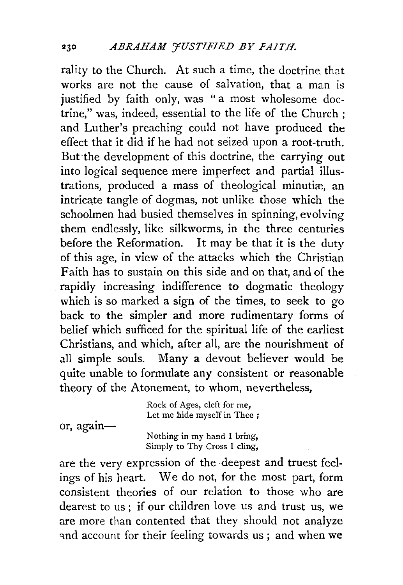rality to the Church. At such a time, the doctrine that works are not the cause of salvation, that a man is justified by faith only, was "a most wholesome doctrine," was, indeed, essential to the life of the Church ; and Luther's preaching could not have produced the effect that it did if he had not seized upon a root-truth. But'the development of this doctrine, the carrying out into logical sequence mere imperfect and partial illustrations, produced a mass of theological minutiæ, an intricate tangle of dogmas, not unlike those which the schoolmen had busied themselves in spinning, evolving them endlessly, like silkworms, in the three centuries before the Reformation. It may be that it is the duty of this age, in view of the attacks which the Christian Faith has to sustain on this side and on that, and of the rapidly increasing indifference to dogmatic theology which is so marked a sign of the times, to seek to go back to the simpler and more rudimentary forms of belief which sufficed for the spiritual life of the earliest Christians, and which, after all, are the nourishment of all simple souls. Many a devout believer would be quite unable to formulate any consistent or reasonable theory of the Atonement, to whom, nevertheless,

or, again-Rock of Ages, cleft for me, Let me hide myself in Thee; Nothing in my hand I bring,

Simply to Thy Cross I cling, are the very expression of the deepest and truest feelings of his heart. We do not, for the most part, form consistent theories of our relation to those who are dearest to us ; if our children love us and trust us, we

are more than contented that they should not analyze and account for their feeling towards us; and when we